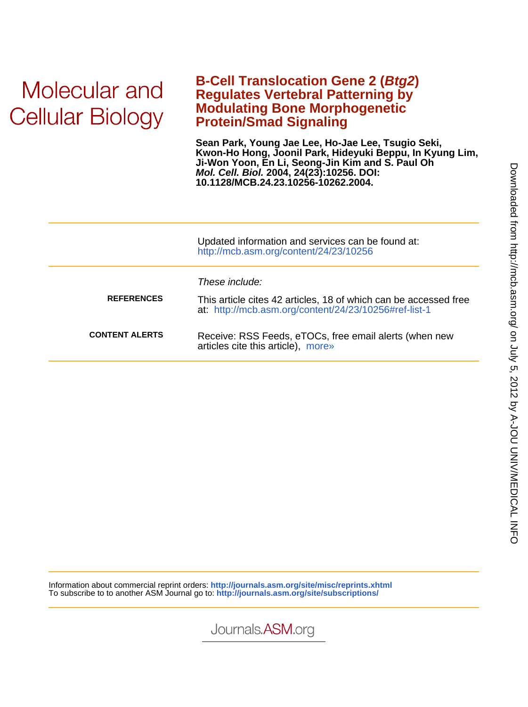# Molecular and **Cellular Biology**

## **Protein/Smad Signaling Modulating Bone Morphogenetic Regulates Vertebral Patterning by B-Cell Translocation Gene 2 (Btg2)**

**10.1128/MCB.24.23.10256-10262.2004. Mol. Cell. Biol. 2004, 24(23):10256. DOI: Ji-Won Yoon, En Li, Seong-Jin Kim and S. Paul Oh Kwon-Ho Hong, Joonil Park, Hideyuki Beppu, In Kyung Lim, Sean Park, Young Jae Lee, Ho-Jae Lee, Tsugio Seki,**

|                       | Updated information and services can be found at:<br>http://mcb.asm.org/content/24/23/10256                                                 |
|-----------------------|---------------------------------------------------------------------------------------------------------------------------------------------|
| <b>REFERENCES</b>     | These include:<br>This article cites 42 articles, 18 of which can be accessed free<br>at: http://mcb.asm.org/content/24/23/10256#ref-list-1 |
| <b>CONTENT ALERTS</b> | Receive: RSS Feeds, eTOCs, free email alerts (when new<br>articles cite this article), more»                                                |

Information about commercial reprint orders: **http://journals.asm.org/site/misc/reprints.xhtml** To subscribe to to another ASM Journal go to: **http://journals.asm.org/site/subscriptions/**

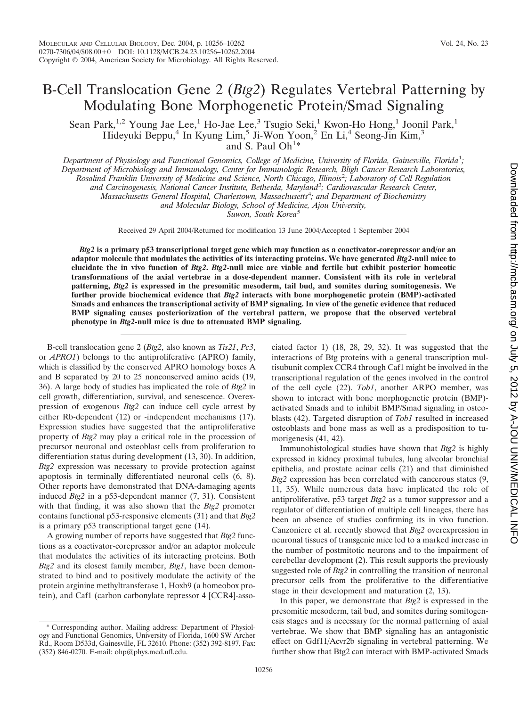## B-Cell Translocation Gene 2 (*Btg2*) Regulates Vertebral Patterning by Modulating Bone Morphogenetic Protein/Smad Signaling

Sean Park,<sup>1,2</sup> Young Jae Lee,<sup>1</sup> Ho-Jae Lee,<sup>3</sup> Tsugio Seki,<sup>1</sup> Kwon-Ho Hong,<sup>1</sup> Joonil Park,<sup>1</sup> Hideyuki Beppu,<sup>4</sup> In Kyung Lim,<sup>5</sup> Ji-Won Yoon,<sup>2</sup> En Li,<sup>4</sup> Seong-Jin Kim,<sup>3</sup> and S. Paul Oh<sup>1\*</sup>

*Department of Physiology and Functional Genomics, College of Medicine, University of Florida, Gainesville, Florida*<sup>1</sup> *; Department of Microbiology and Immunology, Center for Immunologic Research, Bligh Cancer Research Laboratories, Rosalind Franklin University of Medicine and Science, North Chicago, Illinois*<sup>2</sup> *; Laboratory of Cell Regulation and Carcinogenesis, National Cancer Institute, Bethesda, Maryland*<sup>3</sup> *; Cardiovascular Research Center, Massachusetts General Hospital, Charlestown, Massachusetts*<sup>4</sup> *; and Department of Biochemistry*

*and Molecular Biology, School of Medicine, Ajou University,*

*Suwon, South Korea*<sup>5</sup>

Received 29 April 2004/Returned for modification 13 June 2004/Accepted 1 September 2004

*Btg2* **is a primary p53 transcriptional target gene which may function as a coactivator-corepressor and/or an adaptor molecule that modulates the activities of its interacting proteins. We have generated** *Btg2***-null mice to elucidate the in vivo function of** *Btg2***.** *Btg2***-null mice are viable and fertile but exhibit posterior homeotic transformations of the axial vertebrae in a dose-dependent manner. Consistent with its role in vertebral patterning,** *Btg2* **is expressed in the presomitic mesoderm, tail bud, and somites during somitogenesis. We further provide biochemical evidence that** *Btg2* **interacts with bone morphogenetic protein (BMP)-activated Smads and enhances the transcriptional activity of BMP signaling. In view of the genetic evidence that reduced BMP signaling causes posteriorization of the vertebral pattern, we propose that the observed vertebral phenotype in** *Btg2***-null mice is due to attenuated BMP signaling.**

B-cell translocation gene 2 (*Btg2*, also known as *Tis21*, *Pc3*, or *APRO1*) belongs to the antiproliferative (APRO) family, which is classified by the conserved APRO homology boxes A and B separated by 20 to 25 nonconserved amino acids (19, 36). A large body of studies has implicated the role of *Btg2* in cell growth, differentiation, survival, and senescence. Overexpression of exogenous *Btg2* can induce cell cycle arrest by either Rb-dependent (12) or -independent mechanisms (17). Expression studies have suggested that the antiproliferative property of *Btg2* may play a critical role in the procession of precursor neuronal and osteoblast cells from proliferation to differentiation status during development (13, 30). In addition, *Btg2* expression was necessary to provide protection against apoptosis in terminally differentiated neuronal cells (6, 8). Other reports have demonstrated that DNA-damaging agents induced *Btg2* in a p53-dependent manner (7, 31). Consistent with that finding, it was also shown that the *Btg2* promoter contains functional p53-responsive elements (31) and that *Btg2* is a primary p53 transcriptional target gene (14).

A growing number of reports have suggested that *Btg2* functions as a coactivator-corepressor and/or an adaptor molecule that modulates the activities of its interacting proteins. Both *Btg2* and its closest family member, *Btg1*, have been demonstrated to bind and to positively modulate the activity of the protein arginine methyltransferase 1, Hoxb9 (a homeobox protein), and Caf1 (carbon carbonylate repressor 4 [CCR4]-associated factor 1) (18, 28, 29, 32). It was suggested that the interactions of Btg proteins with a general transcription multisubunit complex CCR4 through Caf1 might be involved in the transcriptional regulation of the genes involved in the control of the cell cycle (22). *Tob1*, another ARPO member, was shown to interact with bone morphogenetic protein (BMP) activated Smads and to inhibit BMP/Smad signaling in osteoblasts (42). Targeted disruption of *Tob1* resulted in increased osteoblasts and bone mass as well as a predisposition to tumorigenesis (41, 42).

Immunohistological studies have shown that *Btg2* is highly expressed in kidney proximal tubules, lung alveolar bronchial epithelia, and prostate acinar cells (21) and that diminished *Btg2* expression has been correlated with cancerous states (9, 11, 35). While numerous data have implicated the role of antiproliferative, p53 target *Btg2* as a tumor suppressor and a regulator of differentiation of multiple cell lineages, there has been an absence of studies confirming its in vivo function. Canzoniere et al. recently showed that *Btg2* overexpression in neuronal tissues of transgenic mice led to a marked increase in the number of postmitotic neurons and to the impairment of cerebellar development (2). This result supports the previously suggested role of *Btg2* in controlling the transition of neuronal precursor cells from the proliferative to the differentiative stage in their development and maturation (2, 13).

In this paper, we demonstrate that *Btg2* is expressed in the presomitic mesoderm, tail bud, and somites during somitogenesis stages and is necessary for the normal patterning of axial vertebrae. We show that BMP signaling has an antagonistic effect on Gdf11/Acvr2b signaling in vertebral patterning. We further show that Btg2 can interact with BMP-activated Smads

<sup>\*</sup> Corresponding author. Mailing address: Department of Physiology and Functional Genomics, University of Florida, 1600 SW Archer Rd., Room D533d, Gainesville, FL 32610. Phone: (352) 392-8197. Fax: (352) 846-0270. E-mail: ohp@phys.med.ufl.edu.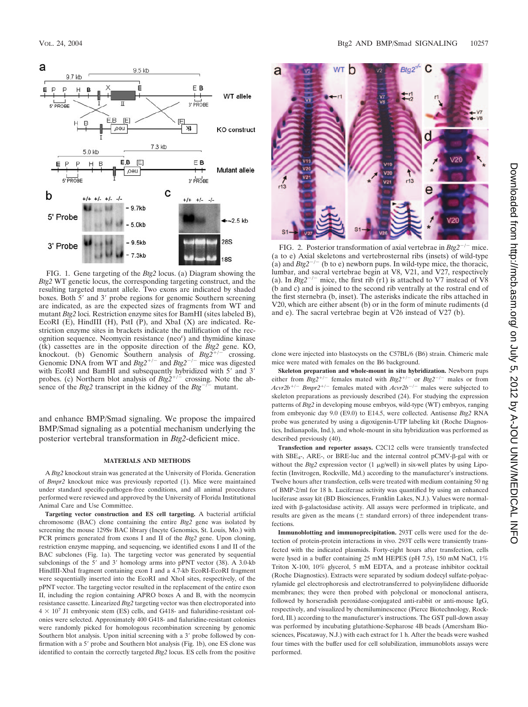

FIG. 1. Gene targeting of the *Btg2* locus. (a) Diagram showing the *Btg2* WT genetic locus, the corresponding targeting construct, and the resulting targeted mutant allele. Two exons are indicated by shaded boxes. Both 5' and 3' probe regions for genomic Southern screening are indicated, as are the expected sizes of fragments from WT and mutant *Btg2* loci. Restriction enzyme sites for BamHI (sites labeled B), EcoRI (E), HindIII (H), PstI (P), and XbaI (X) are indicated. Restriction enzyme sites in brackets indicate the nullification of the recognition sequence. Neomycin resistance (neo<sup>r</sup>) and thymidine kinase (tk) cassettes are in the opposite direction of the *Btg2* gene. KO, knockout. (b) Genomic Southern analysis of  $Btg2^{+/-}$  crossing. Genomic DNA from WT and  $Btg2^{+/-}$  and  $Btg2^{-/-}$  mice was digested with EcoRI and BamHI and subsequently hybridized with 5' and 3' probes. (c) Northern blot analysis of  $Btg2^{+/-}$  crossing. Note the absence of the *Btg2* transcript in the kidney of the  $Btg^{-1}$  mutant.

and enhance BMP/Smad signaling. We propose the impaired BMP/Smad signaling as a potential mechanism underlying the posterior vertebral transformation in *Btg2*-deficient mice.

#### **MATERIALS AND METHODS**

A *Btg2* knockout strain was generated at the University of Florida. Generation of *Bmpr2* knockout mice was previously reported (1). Mice were maintained under standard specific-pathogen-free conditions, and all animal procedures performed were reviewed and approved by the University of Florida Institutional Animal Care and Use Committee.

**Targeting vector construction and ES cell targeting.** A bacterial artificial chromosome (BAC) clone containing the entire *Btg2* gene was isolated by screening the mouse 129Sv BAC library (Incyte Genomics, St. Louis, Mo.) with PCR primers generated from exons I and II of the *Btg2* gene. Upon cloning, restriction enzyme mapping, and sequencing, we identified exons I and II of the BAC subclones (Fig. 1a). The targeting vector was generated by sequential subclonings of the 5' and 3' homology arms into pPNT vector (38). A 3.0-kb HindIII-XbaI fragment containing exon I and a 4.7-kb EcoRI-EcoRI fragment were sequentially inserted into the EcoRI and XhoI sites, respectively, of the pPNT vector. The targeting vector resulted in the replacement of the entire exon II, including the region containing APRO boxes A and B, with the neomycin resistance cassette. Linearized *Btg2* targeting vector was then electroporated into  $4 \times 10^7$  J1 embryonic stem (ES) cells, and G418- and fialuridine-resistant colonies were selected. Approximately 400 G418- and fialuridine-resistant colonies were randomly picked for homologous recombination screening by genomic Southern blot analysis. Upon initial screening with a 3' probe followed by confirmation with a 5' probe and Southern blot analysis (Fig. 1b), one ES clone was identified to contain the correctly targeted *Btg2* locus. ES cells from the positive



FIG. 2. Posterior transformation of axial vertebrae in  $Btg2^{-/-}$  mice. (a to e) Axial skeletons and vertebrosternal ribs (insets) of wild-type (a) and  $Btg2^{-/-}$  (b to e) newborn pups. In wild-type mice, the thoracic, lumbar, and sacral vertebrae begin at V8, V21, and V27, respectively (a). In  $Btg2^{-/-}$  mice, the first rib (r1) is attached to V7 instead of V8 (b and c) and is joined to the second rib ventrally at the rostral end of the first sternebra (b, inset). The asterisks indicate the ribs attached in V20, which are either absent (b) or in the form of minute rudiments (d and e). The sacral vertebrae begin at V26 instead of V27 (b).

clone were injected into blastocysts on the C57BL/6 (B6) strain. Chimeric male mice were mated with females on the B6 background.

**Skeleton preparation and whole-mount in situ hybridization.** Newborn pups either from  $Btg2^{+/-}$  females mated with  $Btg2^{+/-}$  or  $Btg2^{-/-}$  males or from  $Acvz2b^{+/-}$  *Bmpr2<sup>+/-</sup>* females mated with  $Acvz2b^{-/-}$  males were subjected to skeleton preparations as previously described (24). For studying the expression patterns of *Btg2* in developing mouse embryos, wild-type (WT) embryos, ranging from embryonic day 9.0 (E9.0) to E14.5, were collected. Antisense *Btg2* RNA probe was generated by using a digoxigenin-UTP labeling kit (Roche Diagnostics, Indianapolis, Ind.), and whole-mount in situ hybridization was performed as described previously (40).

**Transfection and reporter assays.** C2C12 cells were transiently transfected with  $SBE_4$ -, ARE-, or BRE-luc and the internal control pCMV- $\beta$ -gal with or without the  $Btg2$  expression vector (1  $\mu$ g/well) in six-well plates by using Lipofectin (Invitrogen, Rockville, Md.) according to the manufacturer's instructions. Twelve hours after transfection, cells were treated with medium containing 50 ng of BMP-2/ml for 18 h. Luciferase activity was quantified by using an enhanced luciferase assay kit (BD Biosciences, Franklin Lakes, N.J.). Values were normalized with  $\beta$ -galactosidase activity. All assays were performed in triplicate, and results are given as the means ( $\pm$  standard errors) of three independent transfections.

**Immunoblotting and immunoprecipitation.** 293T cells were used for the detection of protein-protein interactions in vivo. 293T cells were transiently transfected with the indicated plasmids. Forty-eight hours after transfection, cells were lysed in a buffer containing 25 mM HEPES (pH 7.5), 150 mM NaCl, 1% Triton X-100, 10% glycerol, 5 mM EDTA, and a protease inhibitor cocktail (Roche Diagnostics). Extracts were separated by sodium dodecyl sulfate-polyacrylamide gel electrophoresis and electrotransferred to polyvinylidene difluoride membranes; they were then probed with polyclonal or monoclonal antisera, followed by horseradish peroxidase-conjugated anti-rabbit or anti-mouse IgG, respectively, and visualized by chemiluminescence (Pierce Biotechnology, Rockford, Ill.) according to the manufacturer's instructions. The GST pull-down assay was performed by incubating glutathione-Sepharose 4B beads (Amersham Biosciences, Piscataway, N.J.) with each extract for 1 h. After the beads were washed four times with the buffer used for cell solubilization, immunoblots assays were performed.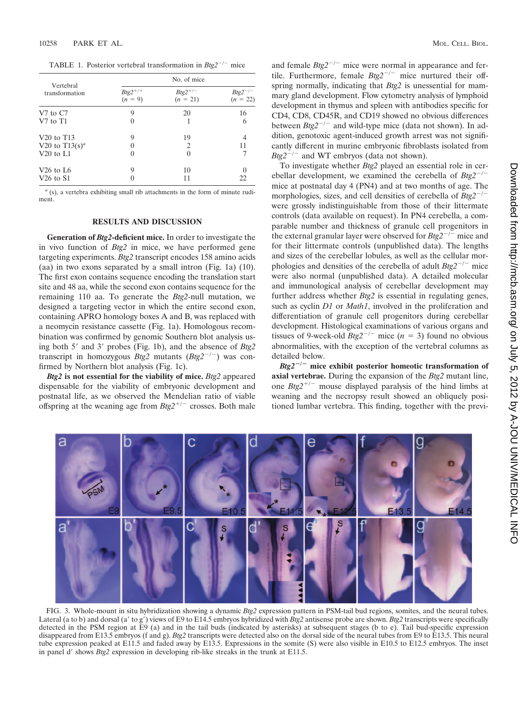TABLE 1. Posterior vertebral transformation in  $Btg2^{-/-}$  mice

| Vertebral<br>transformation        | No. of mice                     |                                  |                                  |
|------------------------------------|---------------------------------|----------------------------------|----------------------------------|
|                                    | $Big^{2+/+}$<br>( <i>n</i> = 9) | $Btg2^{+/-}$<br>( <i>n</i> = 21) | $Btg2^{-/-}$<br>( <i>n</i> = 22) |
| V7 to C7                           | 9                               | 20                               | 16                               |
| V7 to T1                           | $\theta$                        |                                  | 6                                |
| V <sub>20</sub> to T <sub>13</sub> | 9                               | 19                               | 4                                |
| V20 to $T13(s)^a$                  |                                 | $\overline{c}$                   | 11                               |
| $V20$ to $L1$                      | $\theta$                        | $\mathbf{0}$                     |                                  |
| V <sub>26</sub> to L <sub>6</sub>  | 9                               | 10                               |                                  |
| $V26$ to $S1$                      | $\theta$                        | 11                               | 22                               |

*<sup>a</sup>* (s), a vertebra exhibiting small rib attachments in the form of minute rudiment.

### **RESULTS AND DISCUSSION**

**Generation of** *Btg2***-deficient mice.** In order to investigate the in vivo function of *Btg2* in mice, we have performed gene targeting experiments. *Btg2* transcript encodes 158 amino acids (aa) in two exons separated by a small intron (Fig. 1a) (10). The first exon contains sequence encoding the translation start site and 48 aa, while the second exon contains sequence for the remaining 110 aa. To generate the *Btg2*-null mutation, we designed a targeting vector in which the entire second exon, containing APRO homology boxes A and B, was replaced with a neomycin resistance cassette (Fig. 1a). Homologous recombination was confirmed by genomic Southern blot analysis using both 5' and 3' probes (Fig. 1b), and the absence of *Btg2* transcript in homozygous *Btg2* mutants  $(Btg2^{-/-})$  was confirmed by Northern blot analysis (Fig. 1c).

*Btg2* **is not essential for the viability of mice.** *Btg2* appeared dispensable for the viability of embryonic development and postnatal life, as we observed the Mendelian ratio of viable offspring at the weaning age from  $Btg2^{+/-}$  crosses. Both male and female  $Btg2^{-/-}$  mice were normal in appearance and fertile. Furthermore, female  $Btg2^{-/-}$  mice nurtured their offspring normally, indicating that *Btg2* is unessential for mammary gland development. Flow cytometry analysis of lymphoid development in thymus and spleen with antibodies specific for CD4, CD8, CD45R, and CD19 showed no obvious differences between  $Btg2^{-/-}$  and wild-type mice (data not shown). In addition, genotoxic agent-induced growth arrest was not significantly different in murine embryonic fibroblasts isolated from *Btg* $2^{-/-}$  and WT embryos (data not shown).

To investigate whether *Btg2* played an essential role in cerebellar development, we examined the cerebella of  $Btg2^{-/-}$ mice at postnatal day 4 (PN4) and at two months of age. The morphologies, sizes, and cell densities of cerebella of  $Btg2^{-/-}$ were grossly indistinguishable from those of their littermate controls (data available on request). In PN4 cerebella, a comparable number and thickness of granule cell progenitors in the external granular layer were observed for  $Btg2^{-/-}$  mice and for their littermate controls (unpublished data). The lengths and sizes of the cerebellar lobules, as well as the cellular morphologies and densities of the cerebella of adult  $Btg2^{-/-}$  mice were also normal (unpublished data). A detailed molecular and immunological analysis of cerebellar development may further address whether *Btg2* is essential in regulating genes, such as cyclin *D1* or *Math1*, involved in the proliferation and differentiation of granule cell progenitors during cerebellar development. Histological examinations of various organs and tissues of 9-week-old  $Btg2^{-/-}$  mice ( $n = 3$ ) found no obvious abnormalities, with the exception of the vertebral columns as detailed below.

*Btg2***/ mice exhibit posterior homeotic transformation of axial vertebrae.** During the expansion of the *Btg2* mutant line, one  $Btg2^{+/-}$  mouse displayed paralysis of the hind limbs at weaning and the necropsy result showed an obliquely positioned lumbar vertebra. This finding, together with the previ-



FIG. 3. Whole-mount in situ hybridization showing a dynamic *Btg2* expression pattern in PSM-tail bud regions, somites, and the neural tubes. Lateral (a to b) and dorsal (a' to g') views of E9 to E14.5 embryos hybridized with *Btg2* antisense probe are shown. *Btg2* transcripts were specifically detected in the PSM region at E9 (a) and in the tail buds (indicated by asterisks) at subsequent stages (b to e). Tail bud-specific expression disappeared from E13.5 embryos (f and g). *Btg2* transcripts were detected also on the dorsal side of the neural tubes from E9 to E13.5. This neural tube expression peaked at E11.5 and faded away by E13.5. Expressions in the somite (S) were also visible in E10.5 to E12.5 embryos. The inset in panel d' shows *Btg2* expression in developing rib-like streaks in the trunk at E11.5.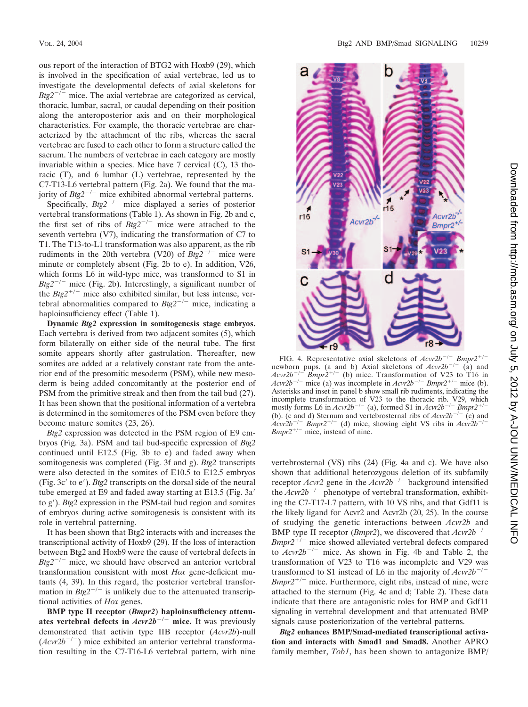ous report of the interaction of BTG2 with Hoxb9 (29), which is involved in the specification of axial vertebrae, led us to investigate the developmental defects of axial skeletons for  $Btg2^{-/-}$  mice. The axial vertebrae are categorized as cervical, thoracic, lumbar, sacral, or caudal depending on their position along the anteroposterior axis and on their morphological characteristics. For example, the thoracic vertebrae are characterized by the attachment of the ribs, whereas the sacral vertebrae are fused to each other to form a structure called the sacrum. The numbers of vertebrae in each category are mostly invariable within a species. Mice have 7 cervical (C), 13 thoracic (T), and 6 lumbar (L) vertebrae, represented by the C7-T13-L6 vertebral pattern (Fig. 2a). We found that the majority of  $Btg2^{-/-}$  mice exhibited abnormal vertebral patterns.

Specifically,  $Btg2^{-/-}$  mice displayed a series of posterior vertebral transformations (Table 1). As shown in Fig. 2b and c, the first set of ribs of  $Btg2^{-/-}$  mice were attached to the seventh vertebra (V7), indicating the transformation of C7 to T1. The T13-to-L1 transformation was also apparent, as the rib rudiments in the 20th vertebra (V20) of  $Btg2^{-/-}$  mice were minute or completely absent (Fig. 2b to e). In addition, V26, which forms L6 in wild-type mice, was transformed to S1 in *Btg2<sup>-/-</sup>* mice (Fig. 2b). Interestingly, a significant number of the  $Btg2^{+/-}$  mice also exhibited similar, but less intense, vertebral abnormalities compared to  $Btg2^{-/-}$  mice, indicating a haploinsufficiency effect (Table 1).

**Dynamic** *Btg2* **expression in somitogenesis stage embryos.** Each vertebra is derived from two adjacent somites (5), which form bilaterally on either side of the neural tube. The first somite appears shortly after gastrulation. Thereafter, new somites are added at a relatively constant rate from the anterior end of the presomitic mesoderm (PSM), while new mesoderm is being added concomitantly at the posterior end of PSM from the primitive streak and then from the tail bud (27). It has been shown that the positional information of a vertebra is determined in the somitomeres of the PSM even before they become mature somites (23, 26).

*Btg2* expression was detected in the PSM region of E9 embryos (Fig. 3a). PSM and tail bud-specific expression of *Btg2* continued until E12.5 (Fig. 3b to e) and faded away when somitogenesis was completed (Fig. 3f and g). *Btg2* transcripts were also detected in the somites of E10.5 to E12.5 embryos (Fig. 3c' to e'). *Btg2* transcripts on the dorsal side of the neural tube emerged at E9 and faded away starting at E13.5 (Fig. 3a' to g'). *Btg2* expression in the PSM-tail bud region and somites of embryos during active somitogenesis is consistent with its role in vertebral patterning.

It has been shown that Btg2 interacts with and increases the transcriptional activity of Hoxb9 (29). If the loss of interaction between Btg2 and Hoxb9 were the cause of vertebral defects in  $Btg2^{-/-}$  mice, we should have observed an anterior vertebral transformation consistent with most *Hox* gene-deficient mutants (4, 39). In this regard, the posterior vertebral transformation in  $Btg2^{-/-}$  is unlikely due to the attenuated transcriptional activities of *Hox* genes.

**BMP type II receptor (***Bmpr2***) haploinsufficiency attenuates vertebral defects in**  $Acvr2b^{-/-}$  **mice.** It was previously demonstrated that activin type IIB receptor (*Acvr2b*)-null  $(Acvr2b^{-/-})$  mice exhibited an anterior vertebral transformation resulting in the C7-T16-L6 vertebral pattern, with nine



FIG. 4. Representative axial skeletons of  $Acvzb^{-/-}$   $Bmpz^{+/-}$ newborn pups. (a and b) Axial skeletons of  $Acvr2b^{-/-}$  (a) and  $Acvr2b^{-/-}$  *Bmpr2<sup>+/-</sup>* (b) mice. Transformation of V23 to T16 in  $\bar{B}mpr\^2$ <sup>+/-</sup> (b) mice. Transformation of V23 to T16 in  $Acvr2b^{-/-}$  mice (a) was incomplete in  $Acvr2b^{-/-}$  *Bmpr2<sup>+/-</sup>* mice (b). Asterisks and inset in panel b show small rib rudiments, indicating the incomplete transformation of V23 to the thoracic rib. V29, which mostly forms L6 in  $Acvr2b^{-/-}$  (a), formed S1 in  $Acvr2b^{-/-}$  *Bmpr2<sup>+/</sup>* (b). (c and d) Sternum and vertebrosternal ribs of  $Acvr2b^{-/-}$  (c) and  $Acvz^2b^{-/-}$  *Bmpr2*<sup>+/-</sup> (d) mice, showing eight VS ribs in  $Acvz^2b^{-/-}$  $Bmpr2^{+/-}$  mice, instead of nine.

vertebrosternal (VS) ribs (24) (Fig. 4a and c). We have also shown that additional heterozygous deletion of its subfamily receptor *Acvr2* gene in the  $Acvr2b^{-/-}$  background intensified the  $Acvr2b^{-/-}$  phenotype of vertebral transformation, exhibiting the C7-T17-L7 pattern, with 10 VS ribs, and that Gdf11 is the likely ligand for Acvr2 and Acvr2b (20, 25). In the course of studying the genetic interactions between *Acvr2b* and BMP type II receptor (*Bmpr2*), we discovered that  $Acv2b^{-/-}$ *Bmpr2<sup>+/-</sup>* mice showed alleviated vertebral defects compared to  $Acvr2b^{-/-}$  mice. As shown in Fig. 4b and Table 2, the transformation of V23 to T16 was incomplete and V29 was transformed to S1 instead of L6 in the majority of  $Acvr2b^{-/-}$ *Bmpr* $2^{+/-}$  mice. Furthermore, eight ribs, instead of nine, were attached to the sternum (Fig. 4c and d; Table 2). These data indicate that there are antagonistic roles for BMP and Gdf11 signaling in vertebral development and that attenuated BMP signals cause posteriorization of the vertebral patterns.

*Btg2* **enhances BMP/Smad-mediated transcriptional activation and interacts with Smad1 and Smad8.** Another APRO family member, *Tob1*, has been shown to antagonize BMP/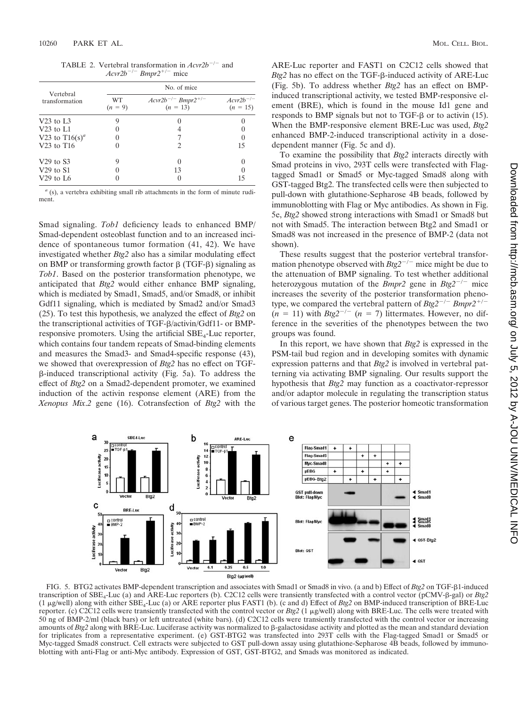TABLE 2. Vertebral transformation in  $Acvr2b^{-/-}$  and  $Acvr2b^{-/-}Bmpr2^{+/-}$  mice

| Vertebral<br>transformation | No. of mice     |                                          |                                  |  |
|-----------------------------|-----------------|------------------------------------------|----------------------------------|--|
|                             | WT<br>$(n = 9)$ | $Acvr2b^{-/-} Bmpr2^{+/-}$<br>$(n = 13)$ | $A$ cvr $2b^{-/-}$<br>$(n = 15)$ |  |
| $V23$ to L3                 | g               |                                          |                                  |  |
| $V23$ to $L1$               |                 |                                          |                                  |  |
| V23 to T16(s) <sup>a</sup>  |                 |                                          |                                  |  |
| $V23$ to T16                |                 | 2                                        | 15                               |  |
| $V29$ to $S3$               | 9               | $\theta$                                 | $\mathbf{0}$                     |  |
| $V29$ to $S1$               |                 | 13                                       |                                  |  |
| $V29$ to L6                 |                 | $\cup$                                   | 15                               |  |

*<sup>a</sup>* (s), a vertebra exhibiting small rib attachments in the form of minute rudiment.

Smad signaling. *Tob1* deficiency leads to enhanced BMP/ Smad-dependent osteoblast function and to an increased incidence of spontaneous tumor formation (41, 42). We have investigated whether *Btg2* also has a similar modulating effect on BMP or transforming growth factor  $\beta$  (TGF- $\beta$ ) signaling as *Tob1*. Based on the posterior transformation phenotype, we anticipated that *Btg2* would either enhance BMP signaling, which is mediated by Smad1, Smad5, and/or Smad8, or inhibit Gdf11 signaling, which is mediated by Smad2 and/or Smad3 (25). To test this hypothesis, we analyzed the effect of *Btg2* on the transcriptional activities of TGF- $\beta$ /activin/Gdf11- or BMPresponsive promoters. Using the artificial  $SBE<sub>4</sub>$ -Luc reporter, which contains four tandem repeats of Smad-binding elements and measures the Smad3- and Smad4-specific response (43), we showed that overexpression of *Btg2* has no effect on TGF-  $\beta$ -induced transcriptional activity (Fig. 5a). To address the effect of *Btg2* on a Smad2-dependent promoter, we examined induction of the activin response element (ARE) from the *Xenopus Mix*.*2* gene (16). Cotransfection of *Btg2* with the

ARE-Luc reporter and FAST1 on C2C12 cells showed that  $Btg2$  has no effect on the TGF- $\beta$ -induced activity of ARE-Luc (Fig. 5b). To address whether *Btg2* has an effect on BMPinduced transcriptional activity, we tested BMP-responsive element (BRE), which is found in the mouse Id1 gene and responds to BMP signals but not to  $TGF- $\beta$  or to activity (15).$ When the BMP-responsive element BRE-Luc was used, *Btg2* enhanced BMP-2-induced transcriptional activity in a dosedependent manner (Fig. 5c and d).

To examine the possibility that *Btg2* interacts directly with Smad proteins in vivo, 293T cells were transfected with Flagtagged Smad1 or Smad5 or Myc-tagged Smad8 along with GST-tagged Btg2. The transfected cells were then subjected to pull-down with glutathione-Sepharose 4B beads, followed by immunoblotting with Flag or Myc antibodies. As shown in Fig. 5e, *Btg2* showed strong interactions with Smad1 or Smad8 but not with Smad5. The interaction between Btg2 and Smad1 or Smad8 was not increased in the presence of BMP-2 (data not shown).

These results suggest that the posterior vertebral transformation phenotype observed with  $Btg2^{-/-}$  mice might be due to the attenuation of BMP signaling. To test whether additional heterozygous mutation of the *Bmpr2* gene in  $Btg2^{-/-}$  mice increases the severity of the posterior transformation phenotype, we compared the vertebral pattern of  $Btg2^{-/-} Bmpr2^{+/-}$  $(n = 11)$  with *Btg2<sup>-/-</sup>*  $(n = 7)$  littermates. However, no difference in the severities of the phenotypes between the two groups was found.

In this report, we have shown that *Btg2* is expressed in the PSM-tail bud region and in developing somites with dynamic expression patterns and that *Btg2* is involved in vertebral patterning via activating BMP signaling. Our results support the hypothesis that *Btg2* may function as a coactivator-repressor and/or adaptor molecule in regulating the transcription status of various target genes. The posterior homeotic transformation



FIG. 5. BTG2 activates BMP-dependent transcription and associates with Smad1 or Smad8 in vivo. (a and b) Effect of *Btg2* on TGF-81-induced transcription of SBE4-Luc (a) and ARE-Luc reporters (b). C2C12 cells were transiently transfected with a control vector (pCMV--gal) or *Btg2* (1 g/well) along with either SBE4-Luc (a) or ARE reporter plus FAST1 (b). (c and d) Effect of *Btg2* on BMP-induced transcription of BRE-Luc reporter. (c) C2C12 cells were transiently transfected with the control vector or *Btg2* (1 g/well) along with BRE-Luc. The cells were treated with 50 ng of BMP-2/ml (black bars) or left untreated (white bars). (d) C2C12 cells were transiently transfected with the control vector or increasing amounts of *Btg2* along with BRE-Luc. Luciferase activity was normalized to  $\beta$ -galactosidase activity and plotted as the mean and standard deviation for triplicates from a representative experiment. (e) GST-BTG2 was transfected into 293T cells with the Flag-tagged Smad1 or Smad5 or Myc-tagged Smad8 construct. Cell extracts were subjected to GST pull-down assay using glutathione-Sepharose 4B beads, followed by immunoblotting with anti-Flag or anti-Myc antibody. Expression of GST, GST-BTG2, and Smads was monitored as indicated.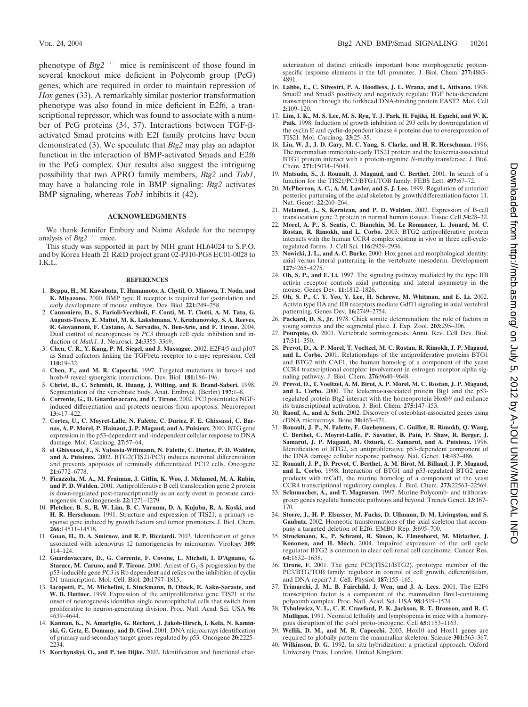phenotype of  $Btg2^{-/-}$  mice is reminiscent of those found in several knockout mice deficient in Polycomb group (PcG) genes, which are required in order to maintain repression of *Hox* genes (33). A remarkably similar posterior transformation phenotype was also found in mice deficient in E2f6, a transcriptional repressor, which was found to associate with a number of PcG proteins  $(34, 37)$ . Interactions between TGF- $\beta$ activated Smad proteins with E2f family proteins have been demonstrated (3). We speculate that *Btg2* may play an adaptor function in the interaction of BMP-activated Smads and E2f6 in the PcG complex. Our results also suggest the intriguing possibility that two APRO family members, *Btg2* and *Tob1*, may have a balancing role in BMP signaling: *Btg2* activates BMP signaling, whereas *Tob1* inhibits it (42).

#### **ACKNOWLEDGMENTS**

We thank Jennifer Embury and Naime Akdede for the necropsy analysis of  $Btg2^{-/-}$  mice.

This study was supported in part by NIH grant HL64024 to S.P.O. and by Korea Heath 21 R&D project grant 02-PJ10-PG8 EC01-0028 to I.K.L.

#### **REFERENCES**

- 1. **Beppu, H., M. Kawabata, T. Hamamoto, A. Chytil, O. Minowa, T. Noda, and K. Miyazono.** 2000. BMP type II receptor is required for gastrulation and early development of mouse embryos. Dev. Biol. **221:**249–258.
- 2. **Canzoniere, D., S. Farioli-Vecchioli, F. Conti, M. T. Ciotti, A. M. Tata, G. Augusti-Tocco, E. Mattei, M. K. Lakshmana, V. Krizhanovsky, S. A. Reeves, R. Giovannoni, F. Castano, A. Servadio, N. Ben-Arie, and F. Tirone.** 2004. Dual control of neurogenesis by *PC3* through cell cycle inhibition and induction of *Math1*. J. Neurosci. **24:**3355–3369.
- 3. **Chen, C. R., Y. Kang, P. M. Siegel, and J. Massague.** 2002. E2F4/5 and p107 as Smad cofactors linking the TGFbeta receptor to c-myc repression. Cell **110:**19–32.
- 4. **Chen, F., and M. R. Capecchi.** 1997. Targeted mutations in hoxa-9 and hoxb-9 reveal synergistic interactions. Dev. Biol. **181:**186–196.
- 5. **Christ, B., C. Schmidt, R. Huang, J. Wilting, and B. Brand-Saberi.** 1998. Segmentation of the vertebrate body. Anat. Embryol. (Berlin) **197:**1–8.
- 6. **Corrente, G., D. Guardavaccaro, and F. Tirone.** 2002. PC3 potentiates NGFinduced differentiation and protects neurons from apoptosis. Neuroreport **13:**417–422.
- 7. **Cortes, U., C. Moyret-Lalle, N. Falette, C. Duriez, F. E. Ghissassi, C. Barnas, A. P. Morel, P. Hainaut, J. P. Magaud, and A. Puisieux.** 2000. BTG gene expression in the p53-dependent and -independent cellular response to DNA damage. Mol. Carcinog. **27:**57–64.
- 8. **el Ghissassi, F., S. Valsesia-Wittmann, N. Falette, C. Duriez, P. D. Walden, and A. Puisieux.** 2002. BTG2(TIS21/PC3) induces neuronal differentiation and prevents apoptosis of terminally differentiated PC12 cells. Oncogene **21:**6772–6778.
- 9. **Ficazzola, M. A., M. Fraiman, J. Gitlin, K. Woo, J. Melamed, M. A. Rubin, and P. D. Walden.** 2001. Antiproliferative B cell translocation gene 2 protein is down-regulated post-transcriptionally as an early event in prostate carcinogenesis. Carcinogenesis **22:**1271–1279.
- 10. **Fletcher, B. S., R. W. Lim, B. C. Varnum, D. A. Kujubu, R. A. Koski, and H. R. Herschman.** 1991. Structure and expression of TIS21, a primary response gene induced by growth factors and tumor promoters. J. Biol. Chem. **266:**14511–14518.
- 11. **Guan, H., D. A. Smirnov, and R. P. Ricciardi.** 2003. Identification of genes associated with adenovirus 12 tumorigenesis by microarray. Virology **309:** 114–124.
- 12. **Guardavaccaro, D., G. Corrente, F. Covone, L. Micheli, I. D'Agnano, G. Starace, M. Caruso, and F. Tirone.** 2000. Arrest of  $G_1$ -S progression by the p53-inducible gene *PC3* is Rb dependent and relies on the inhibition of cyclin D1 transcription. Mol. Cell. Biol. **20:**1797–1815.
- 13. **Iacopetti, P., M. Michelini, I. Stuckmann, B. Oback, E. Aaku-Saraste, and W. B. Huttner.** 1999. Expression of the antiproliferative gene TIS21 at the onset of neurogenesis identifies single neuroepithelial cells that switch from proliferative to neuron-generating division. Proc. Natl. Acad. Sci. USA **96:** 4639–4644.
- 14. **Kannan, K., N. Amariglio, G. Rechavi, J. Jakob-Hirsch, I. Kela, N. Kaminski, G. Getz, E. Domany, and D. Givol.** 2001. DNA microarrays identification of primary and secondary target genes regulated by p53. Oncogene **20:**2225–  $224.$
- 15. **Korchynskyi, O., and P. ten Dijke.** 2002. Identification and functional char-

acterization of distinct critically important bone morphogenetic proteinspecific response elements in the Id1 promoter. J. Biol. Chem. **277:**4883– 4891.

- 16. **Labbe, E., C. Silvestri, P. A. Hoodless, J. L. Wrana, and L. Attisano.** 1998. Smad2 and Smad3 positively and negatively regulate TGF beta-dependent transcription through the forkhead DNA-binding protein FAST2. Mol. Cell **2:**109–120.
- 17. **Lim, I. K., M. S. Lee, M. S. Ryu, T. J. Park, H. Fujiki, H. Eguchi, and W. K. Paik.** 1998. Induction of growth inhibition of 293 cells by downregulation of the cyclin E and cyclin-dependent kinase 4 proteins due to overexpression of TIS21. Mol. Carcinog. **23:**25–35.
- 18. **Lin, W. J., J. D. Gary, M. C. Yang, S. Clarke, and H. R. Herschman.** 1996. The mammalian immediate-early TIS21 protein and the leukemia-associated BTG1 protein interact with a protein-arginine *N*-methyltransferase. J. Biol. Chem. **271:**15034–15044.
- 19. **Matsuda, S., J. Rouault, J. Magaud, and C. Berthet.** 2001. In search of a function for the TIS21/PC3/BTG1/TOB family. FEBS Lett. **497:**67–72.
- 20. **McPherron, A. C., A. M. Lawler, and S. J. Lee.** 1999. Regulation of anterior/ posterior patterning of the axial skeleton by growth/differentiation factor 11. Nat. Genet. **22:**260–264.
- 21. **Melamed, J., S. Kernizan, and P. D. Walden.** 2002. Expression of B-cell translocation gene 2 protein in normal human tissues. Tissue Cell **34:**28–32.
- 22. **Morel, A. P., S. Sentis, C. Bianchin, M. Le Romancer, L. Jonard, M. C. Rostan, R. Rimokh, and L. Corbo.** 2003. BTG2 antiproliferative protein interacts with the human CCR4 complex existing in vivo in three cell-cycleregulated forms. J. Cell Sci. **116:**2929–2936.
- 23. **Nowicki, J. L., and A. C. Burke.** 2000. Hox genes and morphological identity: axial versus lateral patterning in the vertebrate mesoderm. Development **127:**4265–4275.
- 24. **Oh, S. P., and E. Li.** 1997. The signaling pathway mediated by the type IIB activin receptor controls axial patterning and lateral asymmetry in the mouse. Genes Dev. **11:**1812–1826.
- 25. **Oh, S. P., C. Y. Yeo, Y. Lee, H. Schrewe, M. Whitman, and E. Li.** 2002. Activin type IIA and IIB receptors mediate Gdf11 signaling in axial vertebral patterning. Genes Dev. **16:**2749–2754.
- 26. **Packard, D. S., Jr.** 1978. Chick somite determination: the role of factors in young somites and the segmental plate. J. Exp. Zool. **203:**295–306.
- 27. **Pourquie, O.** 2001. Vertebrate somitogenesis. Annu. Rev. Cell Dev. Biol. **17:**311–350.
- 28. **Prevot, D., A. P. Morel, T. Voeltzel, M. C. Rostan, R. Rimokh, J. P. Magaud, and L. Corbo.** 2001. Relationships of the antiproliferative proteins BTG1 and BTG2 with CAF1, the human homolog of a component of the yeast CCR4 transcriptional complex: involvement in estrogen receptor alpha signaling pathway. J. Biol. Chem. **276:**9640–9648.
- 29. **Prevot, D., T. Voeltzel, A. M. Birot, A. P. Morel, M. C. Rostan, J. P. Magaud, and L. Corbo.** 2000. The leukemia-associated protein Btg1 and the p53 regulated protein Btg2 interact with the homeoprotein Hoxb9 and enhance its transcriptional activation. J. Biol. Chem. **275:**147–153.
- 30. **Raouf, A., and A. Seth.** 2002. Discovery of osteoblast-associated genes using cDNA microarrays. Bone **30:**463–471.
- 31. **Rouault, J. P., N. Falette, F. Guehenneux, C. Guillot, R. Rimokh, Q. Wang, C. Berthet, C. Moyret-Lalle, P. Savatier, B. Pain, P. Shaw, R. Berger, J. Samarut, J. P. Magaud, M. Ozturk, C. Samarut, and A. Puisieux.** 1996. Identification of BTG2, an antiproliferative p53-dependent component of the DNA damage cellular response pathway. Nat. Genet. **14:**482–486.
- 32. **Rouault, J. P., D. Prevot, C. Berthet, A. M. Birot, M. Billaud, J. P. Magaud, and L. Corbo.** 1998. Interaction of BTG1 and p53-regulated BTG2 gene products with mCaf1, the murine homolog of a component of the yeast CCR4 transcriptional regulatory complex. J. Biol. Chem. **273:**22563–22569.
- 33. **Schumacher, A., and T. Magnuson.** 1997. Murine Polycomb- and trithoraxgroup genes regulate homeotic pathways and beyond. Trends Genet. **13:**167– 170.
- 34. **Storre, J., H. P. Elsasser, M. Fuchs, D. Ullmann, D. M. Livingston, and S. Gaubatz.** 2002. Homeotic transformations of the axial skeleton that accompany a targeted deletion of E2f6. EMBO Rep. **3:**695–700.
- 35. **Struckmann, K., P. Schraml, R. Simon, K. Elmenhorst, M. Mirlacher, J. Kononen, and H. Moch.** 2004. Impaired expression of the cell cycle regulator BTG2 is common in clear cell renal cell carcinoma. Cancer Res. **64:**1632–1638.
- 36. **Tirone, F.** 2001. The gene PC3(TIS21/BTG2), prototype member of the PC3/BTG/TOB family: regulator in control of cell growth, differentiation, and DNA repair? J. Cell. Physiol. **187:**155–165.
- 37. **Trimarchi, J. M., B. Fairchild, J. Wen, and J. A. Lees.** 2001. The E2F6 transcription factor is a component of the mammalian Bmi1-containing polycomb complex. Proc. Natl. Acad. Sci. USA **98:**1519–1524.
- 38. **Tybulewicz, V. L., C. E. Crawford, P. K. Jackson, R. T. Bronson, and R. C. Mulligan.** 1991. Neonatal lethality and lymphopenia in mice with a homozygous disruption of the c-abl proto-oncogene. Cell **65:**1153–1163.
- 39. **Wellik, D. M., and M. R. Capecchi.** 2003. Hox10 and Hox11 genes are required to globally pattern the mammalian skeleton. Science **301:**363–367.
- 40. **Wilkinson, D. G.** 1992. In situ hybridization: a practical approach. Oxford University Press, London, United Kingdom.